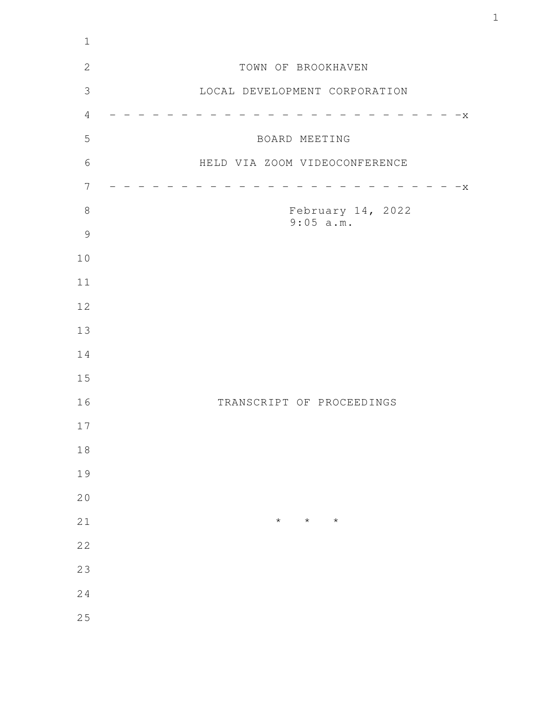| $\mathbf 1$    |                                |
|----------------|--------------------------------|
| $\mathbf{2}$   | TOWN OF BROOKHAVEN             |
| $\mathfrak{Z}$ | LOCAL DEVELOPMENT CORPORATION  |
| $\sqrt{4}$     | $-x$                           |
| 5              | BOARD MEETING                  |
| $6\,$          | HELD VIA ZOOM VIDEOCONFERENCE  |
| $\overline{7}$ | $-x$                           |
| $8\,$          | February 14, 2022<br>9:05 a.m. |
| $\mathcal{G}$  |                                |
| 10             |                                |
| 11             |                                |
| 12             |                                |
| 13             |                                |
| 14             |                                |
| 15             |                                |
| 16             | TRANSCRIPT OF PROCEEDINGS      |
| 17             |                                |
| $1\,8$         |                                |
| 19             |                                |
| 20             |                                |
| 21             | $\star$<br>$\star$<br>$\star$  |
| 22             |                                |
| 23             |                                |
| 24             |                                |
| 25             |                                |
|                |                                |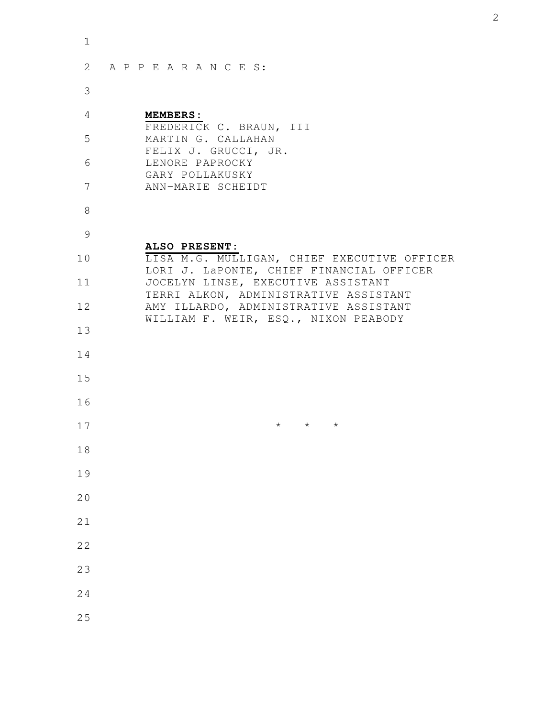| $\mathbf 1$ |                                                                                         |
|-------------|-----------------------------------------------------------------------------------------|
| 2           | APPEARANCES:                                                                            |
| 3           |                                                                                         |
| 4           | <b>MEMBERS:</b><br>FREDERICK C. BRAUN, III                                              |
| 5           | MARTIN G. CALLAHAN<br>FELIX J. GRUCCI, JR.                                              |
| 6           | LENORE PAPROCKY<br>GARY POLLAKUSKY                                                      |
| 7           | ANN-MARIE SCHEIDT                                                                       |
| 8           |                                                                                         |
| 9           | ALSO PRESENT:                                                                           |
| 10          | LISA M.G. MULLIGAN, CHIEF EXECUTIVE OFFICER<br>LORI J. LaPONTE, CHIEF FINANCIAL OFFICER |
| 11          | JOCELYN LINSE, EXECUTIVE ASSISTANT<br>TERRI ALKON, ADMINISTRATIVE ASSISTANT             |
| 12          | AMY ILLARDO, ADMINISTRATIVE ASSISTANT<br>WILLIAM F. WEIR, ESQ., NIXON PEABODY           |
| 13          |                                                                                         |
| 14<br>15    |                                                                                         |
| 16          |                                                                                         |
| 17          | $\star$ $\star$ $\star$                                                                 |
| 18          |                                                                                         |
| 19          |                                                                                         |
| 20          |                                                                                         |
| 21          |                                                                                         |
| 22          |                                                                                         |
| 23          |                                                                                         |
| 24          |                                                                                         |
| 25          |                                                                                         |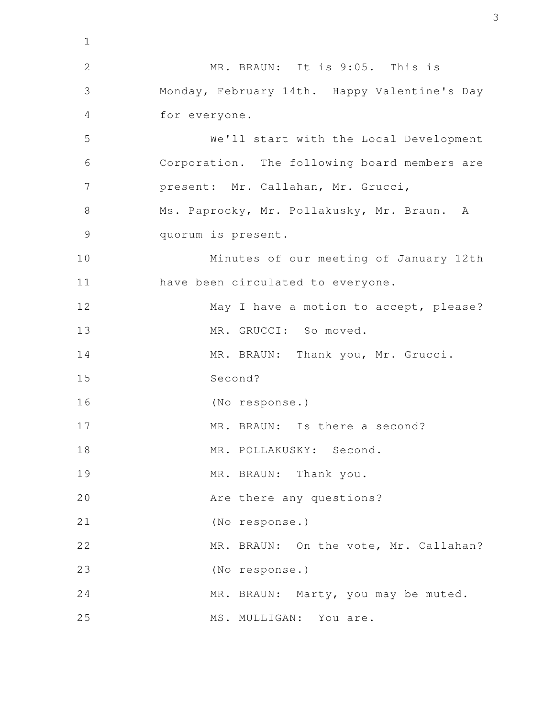MR. BRAUN: It is 9:05. This is Monday, February 14th. Happy Valentine's Day for everyone. We'll start with the Local Development Corporation. The following board members are present: Mr. Callahan, Mr. Grucci, Ms. Paprocky, Mr. Pollakusky, Mr. Braun. A quorum is present. Minutes of our meeting of January 12th have been circulated to everyone. May I have a motion to accept, please? MR. GRUCCI: So moved. MR. BRAUN: Thank you, Mr. Grucci. Second? (No response.) MR. BRAUN: Is there a second? MR. POLLAKUSKY: Second. MR. BRAUN: Thank you. Are there any questions? (No response.) MR. BRAUN: On the vote, Mr. Callahan? (No response.) MR. BRAUN: Marty, you may be muted. MS. MULLIGAN: You are. 1 2 3 4 5 6 7 8 9 10 11 12 13 14 15 16 17 18 19 20 21 22 23 24 25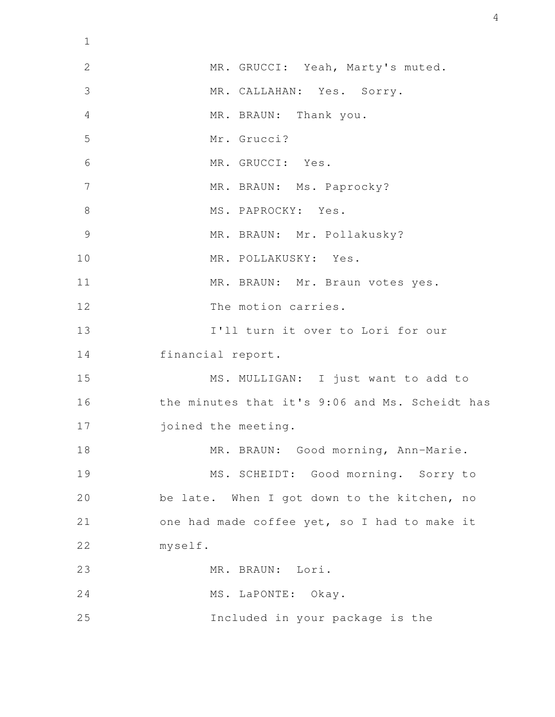| $\mathbf 1$    |                                                |
|----------------|------------------------------------------------|
| $\mathbf{2}$   | MR. GRUCCI: Yeah, Marty's muted.               |
| 3              | MR. CALLAHAN: Yes. Sorry.                      |
| $\overline{4}$ | MR. BRAUN: Thank you.                          |
| 5              | Mr. Grucci?                                    |
| 6              | MR. GRUCCI: Yes.                               |
| 7              | MR. BRAUN: Ms. Paprocky?                       |
| 8              | MS. PAPROCKY: Yes.                             |
| $\mathcal{G}$  | MR. BRAUN: Mr. Pollakusky?                     |
| 10             | MR. POLLAKUSKY: Yes.                           |
| 11             | MR. BRAUN: Mr. Braun votes yes.                |
| 12             | The motion carries.                            |
| 13             | I'll turn it over to Lori for our              |
| 14             | financial report.                              |
| 15             | MS. MULLIGAN: I just want to add to            |
| 16             | the minutes that it's 9:06 and Ms. Scheidt has |
| 17             | joined the meeting.                            |
| 18             | MR. BRAUN: Good morning, Ann-Marie.            |
| 19             | MS. SCHEIDT: Good morning. Sorry to            |
| 20             | be late. When I got down to the kitchen, no    |
| 21             | one had made coffee yet, so I had to make it   |
| 22             | myself.                                        |
| 23             | MR. BRAUN: Lori.                               |
| 24             | MS. LaPONTE: Okay.                             |
| 25             | Included in your package is the                |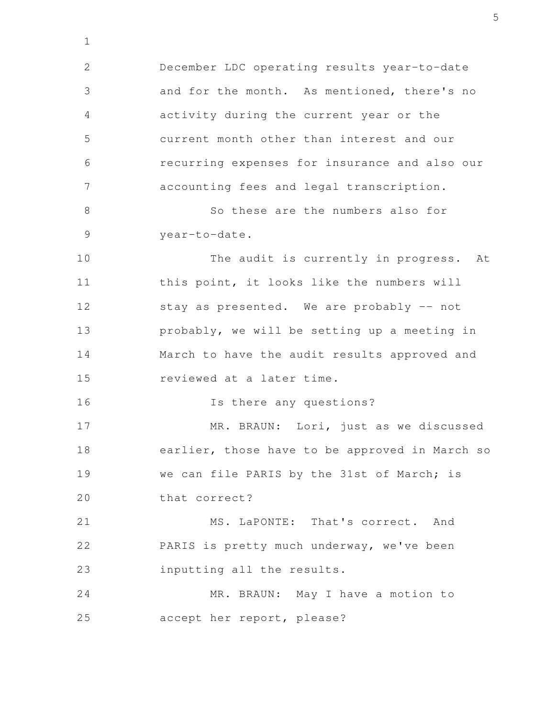December LDC operating results year-to-date and for the month. As mentioned, there's no activity during the current year or the current month other than interest and our recurring expenses for insurance and also our accounting fees and legal transcription. So these are the numbers also for year-to-date. The audit is currently in progress. At this point, it looks like the numbers will stay as presented. We are probably -- not probably, we will be setting up a meeting in March to have the audit results approved and reviewed at a later time. Is there any questions? MR. BRAUN: Lori, just as we discussed earlier, those have to be approved in March so we can file PARIS by the 31st of March; is that correct? MS. LaPONTE: That's correct. And PARIS is pretty much underway, we've been inputting all the results. MR. BRAUN: May I have a motion to accept her report, please? 2 3 4 5 6 7 8 9 10 11 12 13 14 15 16 17 18 19 20 21 22 23 24 25

1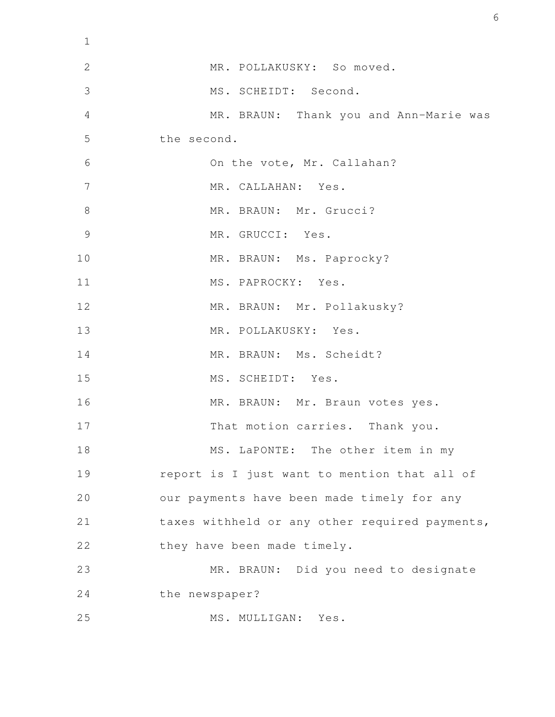| $\mathbf 1$ |                                                |
|-------------|------------------------------------------------|
| 2           | MR. POLLAKUSKY: So moved.                      |
| 3           | MS. SCHEIDT: Second.                           |
| 4           | MR. BRAUN: Thank you and Ann-Marie was         |
| 5           | the second.                                    |
| 6           | On the vote, Mr. Callahan?                     |
| 7           | MR. CALLAHAN: Yes.                             |
| $8\,$       | MR. BRAUN: Mr. Grucci?                         |
| 9           | MR. GRUCCI: Yes.                               |
| 10          | MR. BRAUN: Ms. Paprocky?                       |
| 11          | MS. PAPROCKY: Yes.                             |
| 12          | MR. BRAUN: Mr. Pollakusky?                     |
| 13          | MR. POLLAKUSKY: Yes.                           |
| 14          | MR. BRAUN: Ms. Scheidt?                        |
| 15          | MS. SCHEIDT: Yes.                              |
| 16          | MR. BRAUN: Mr. Braun votes yes.                |
| 17          | That motion carries. Thank you.                |
| 18          | MS. LaPONTE: The other item in my              |
| 19          | report is I just want to mention that all of   |
| 20          | our payments have been made timely for any     |
| 21          | taxes withheld or any other required payments, |
| 22          | they have been made timely.                    |
| 23          | MR. BRAUN: Did you need to designate           |
| 24          | the newspaper?                                 |
| 25          | MS. MULLIGAN: Yes.                             |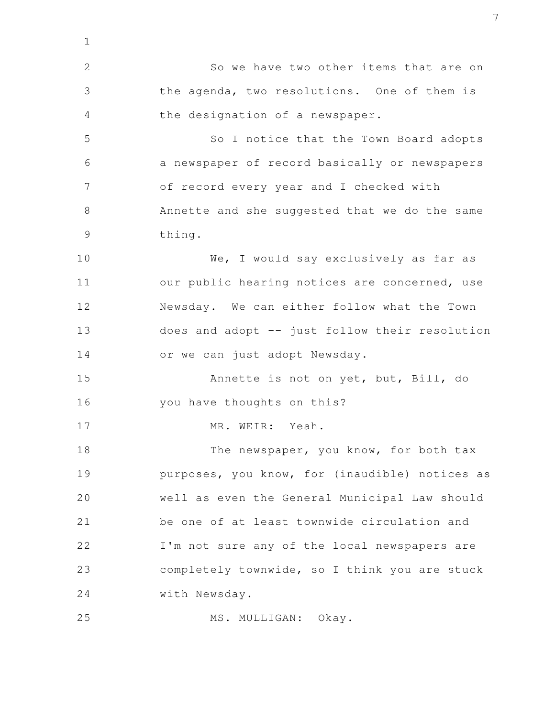So we have two other items that are on the agenda, two resolutions. One of them is the designation of a newspaper. So I notice that the Town Board adopts a newspaper of record basically or newspapers of record every year and I checked with Annette and she suggested that we do the same thing. We, I would say exclusively as far as our public hearing notices are concerned, use Newsday. We can either follow what the Town does and adopt -- just follow their resolution or we can just adopt Newsday. Annette is not on yet, but, Bill, do you have thoughts on this? MR. WEIR: Yeah. The newspaper, you know, for both tax purposes, you know, for (inaudible) notices as well as even the General Municipal Law should be one of at least townwide circulation and I'm not sure any of the local newspapers are completely townwide, so I think you are stuck with Newsday. MS. MULLIGAN: Okay. 1 2 3 4 5 6 7 8 9 10 11 12 13 14 15 16 17 18 19 20 21 22 23 24 25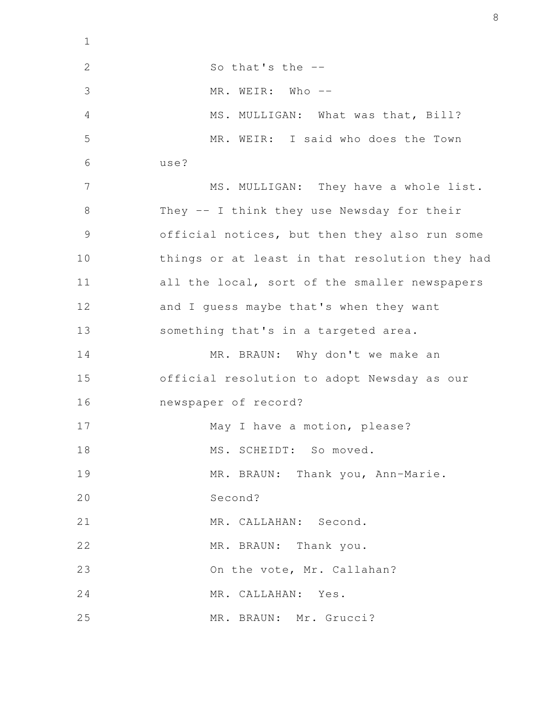| $\mathbf 1$   |                                                |
|---------------|------------------------------------------------|
| $\mathbf{2}$  | So that's the --                               |
| 3             | MR. WEIR: Who --                               |
| 4             | MS. MULLIGAN: What was that, Bill?             |
| 5             | MR. WEIR: I said who does the Town             |
| 6             | use?                                           |
| 7             | MS. MULLIGAN: They have a whole list.          |
| 8             | They -- I think they use Newsday for their     |
| $\mathcal{G}$ | official notices, but then they also run some  |
| 10            | things or at least in that resolution they had |
| 11            | all the local, sort of the smaller newspapers  |
| 12            | and I guess maybe that's when they want        |
| 13            | something that's in a targeted area.           |
| 14            | MR. BRAUN: Why don't we make an                |
| 15            | official resolution to adopt Newsday as our    |
| 16            | newspaper of record?                           |
| 17            | May I have a motion, please?                   |
| 18            | MS. SCHEIDT: So moved.                         |
| 19            | MR. BRAUN: Thank you, Ann-Marie.               |
| 20            | Second?                                        |
| 21            | MR. CALLAHAN: Second.                          |
| 22            | MR. BRAUN: Thank you.                          |
| 23            | On the vote, Mr. Callahan?                     |
| 24            | MR. CALLAHAN: Yes.                             |
| 25            | MR. BRAUN: Mr. Grucci?                         |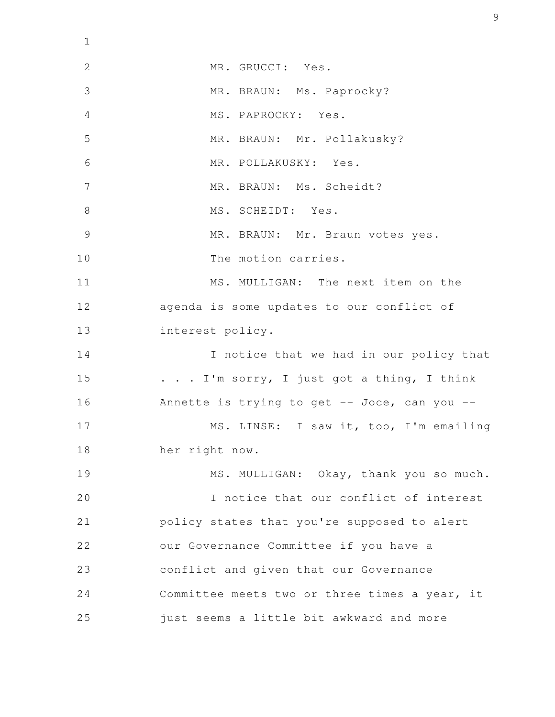| $\mathbf{1}$   |                                               |
|----------------|-----------------------------------------------|
| $\mathbf{2}$   | MR. GRUCCI: Yes.                              |
| 3              | MR. BRAUN: Ms. Paprocky?                      |
| $\overline{4}$ | MS. PAPROCKY: Yes.                            |
| 5              | MR. BRAUN: Mr. Pollakusky?                    |
| 6              | MR. POLLAKUSKY: Yes.                          |
| 7              | MR. BRAUN: Ms. Scheidt?                       |
| 8              | MS. SCHEIDT: Yes.                             |
| $\mathcal{G}$  | MR. BRAUN: Mr. Braun votes yes.               |
| 10             | The motion carries.                           |
| 11             | MS. MULLIGAN: The next item on the            |
| 12             | agenda is some updates to our conflict of     |
| 13             | interest policy.                              |
| 14             | I notice that we had in our policy that       |
| 15             | . I'm sorry, I just got a thing, I think      |
| 16             | Annette is trying to get -- Joce, can you --  |
| 17             | MS. LINSE: I saw it, too, I'm emailing        |
| 18             | her right now.                                |
| 19             | MS. MULLIGAN: Okay, thank you so much.        |
| 20             | I notice that our conflict of interest        |
| 21             | policy states that you're supposed to alert   |
| 22             | our Governance Committee if you have a        |
| 23             | conflict and given that our Governance        |
| 24             | Committee meets two or three times a year, it |
| 25             | just seems a little bit awkward and more      |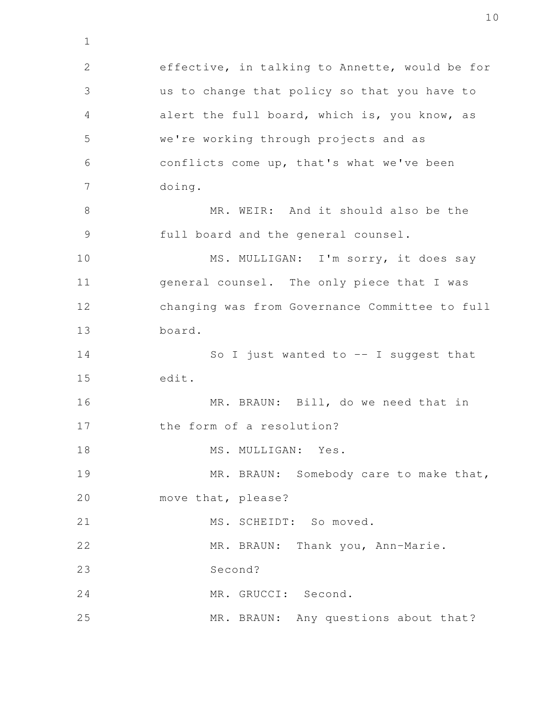effective, in talking to Annette, would be for us to change that policy so that you have to alert the full board, which is, you know, as we're working through projects and as conflicts come up, that's what we've been doing. MR. WEIR: And it should also be the full board and the general counsel. MS. MULLIGAN: I'm sorry, it does say general counsel. The only piece that I was changing was from Governance Committee to full board. So I just wanted to  $--$  I suggest that edit. MR. BRAUN: Bill, do we need that in the form of a resolution? MS. MULLIGAN: Yes. MR. BRAUN: Somebody care to make that, move that, please? MS. SCHEIDT: So moved. MR. BRAUN: Thank you, Ann-Marie. Second? MR. GRUCCI: Second. MR. BRAUN: Any questions about that? 2 3 4 5 6 7 8 9 10 11 12 13 14 15 16 17 18 19 20 21 22 23 24 25

1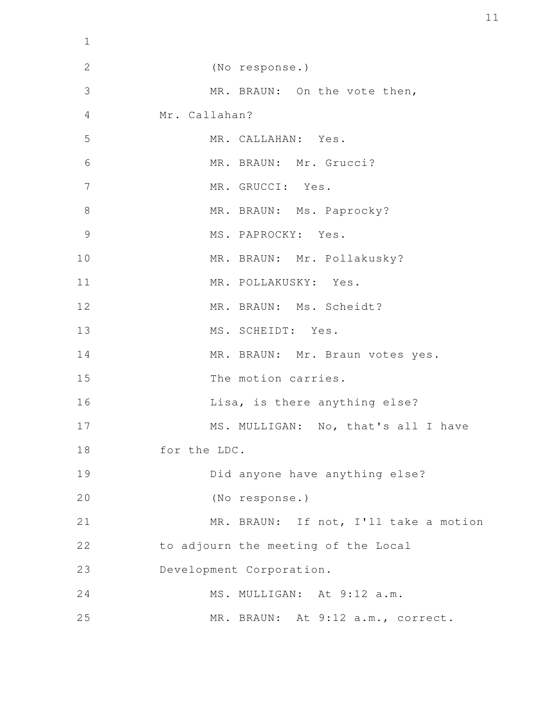| $\mathbf 1$    |                                       |
|----------------|---------------------------------------|
| $\mathbf{2}$   | (No response.)                        |
| 3              | MR. BRAUN: On the vote then,          |
| 4              | Mr. Callahan?                         |
| 5              | MR. CALLAHAN: Yes.                    |
| 6              | MR. BRAUN: Mr. Grucci?                |
| $\overline{7}$ | MR. GRUCCI: Yes.                      |
| $8\,$          | MR. BRAUN: Ms. Paprocky?              |
| $\overline{9}$ | MS. PAPROCKY: Yes.                    |
| 10             | MR. BRAUN: Mr. Pollakusky?            |
| 11             | MR. POLLAKUSKY: Yes.                  |
| 12             | MR. BRAUN: Ms. Scheidt?               |
| 13             | MS. SCHEIDT: Yes.                     |
| 14             | MR. BRAUN: Mr. Braun votes yes.       |
| 15             | The motion carries.                   |
| 16             | Lisa, is there anything else?         |
| 17             | MS. MULLIGAN: No, that's all I have   |
| 18             | for the LDC.                          |
| 19             | Did anyone have anything else?        |
| 20             | (No response.)                        |
| 21             | MR. BRAUN: If not, I'll take a motion |
| 22             | to adjourn the meeting of the Local   |
| 23             | Development Corporation.              |
| 24             | MS. MULLIGAN: At 9:12 a.m.            |
| 25             | MR. BRAUN: At 9:12 a.m., correct.     |